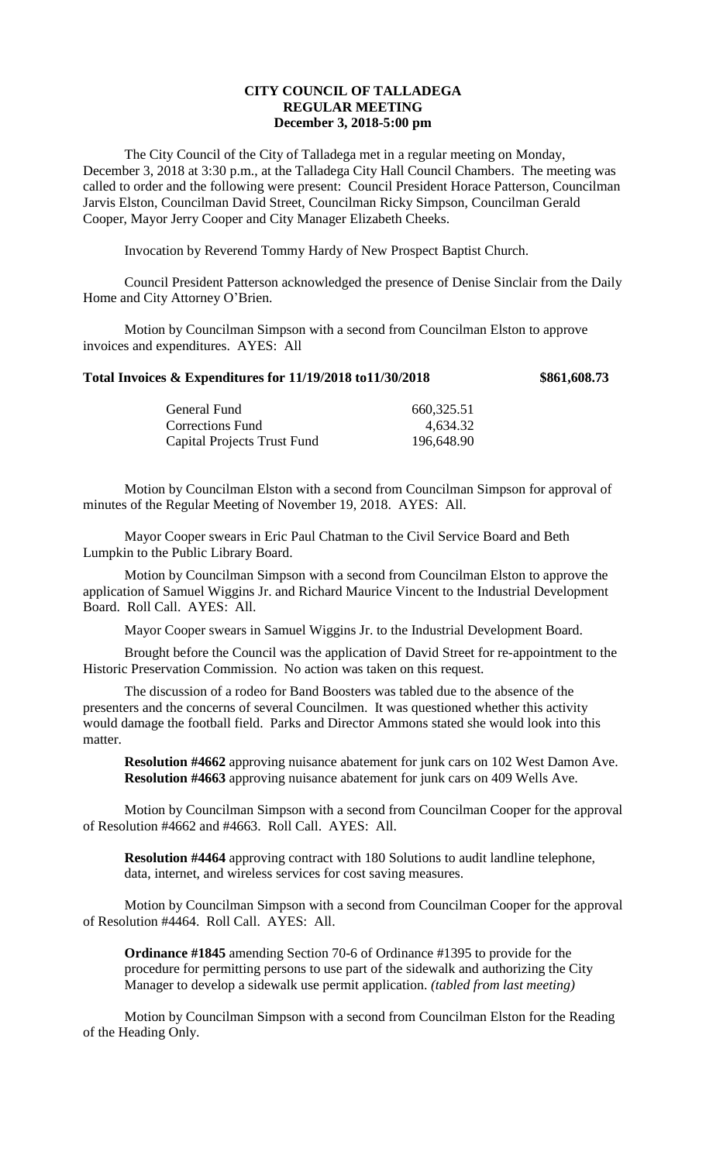## **CITY COUNCIL OF TALLADEGA REGULAR MEETING December 3, 2018-5:00 pm**

The City Council of the City of Talladega met in a regular meeting on Monday, December 3, 2018 at 3:30 p.m., at the Talladega City Hall Council Chambers. The meeting was called to order and the following were present: Council President Horace Patterson, Councilman Jarvis Elston, Councilman David Street, Councilman Ricky Simpson, Councilman Gerald Cooper, Mayor Jerry Cooper and City Manager Elizabeth Cheeks.

Invocation by Reverend Tommy Hardy of New Prospect Baptist Church.

Council President Patterson acknowledged the presence of Denise Sinclair from the Daily Home and City Attorney O'Brien.

Motion by Councilman Simpson with a second from Councilman Elston to approve invoices and expenditures. AYES: All

## **Total Invoices & Expenditures for 11/19/2018 to11/30/2018 \$861,608.73**

| 660,325.51 |
|------------|
| 4,634.32   |
| 196,648.90 |
|            |

Motion by Councilman Elston with a second from Councilman Simpson for approval of minutes of the Regular Meeting of November 19, 2018. AYES: All.

Mayor Cooper swears in Eric Paul Chatman to the Civil Service Board and Beth Lumpkin to the Public Library Board.

Motion by Councilman Simpson with a second from Councilman Elston to approve the application of Samuel Wiggins Jr. and Richard Maurice Vincent to the Industrial Development Board. Roll Call. AYES: All.

Mayor Cooper swears in Samuel Wiggins Jr. to the Industrial Development Board.

Brought before the Council was the application of David Street for re-appointment to the Historic Preservation Commission. No action was taken on this request.

The discussion of a rodeo for Band Boosters was tabled due to the absence of the presenters and the concerns of several Councilmen. It was questioned whether this activity would damage the football field. Parks and Director Ammons stated she would look into this matter.

**Resolution #4662** approving nuisance abatement for junk cars on 102 West Damon Ave. **Resolution #4663** approving nuisance abatement for junk cars on 409 Wells Ave.

Motion by Councilman Simpson with a second from Councilman Cooper for the approval of Resolution #4662 and #4663. Roll Call. AYES: All.

**Resolution #4464** approving contract with 180 Solutions to audit landline telephone, data, internet, and wireless services for cost saving measures.

Motion by Councilman Simpson with a second from Councilman Cooper for the approval of Resolution #4464. Roll Call. AYES: All.

**Ordinance #1845** amending Section 70-6 of Ordinance #1395 to provide for the procedure for permitting persons to use part of the sidewalk and authorizing the City Manager to develop a sidewalk use permit application. *(tabled from last meeting)*

Motion by Councilman Simpson with a second from Councilman Elston for the Reading of the Heading Only.